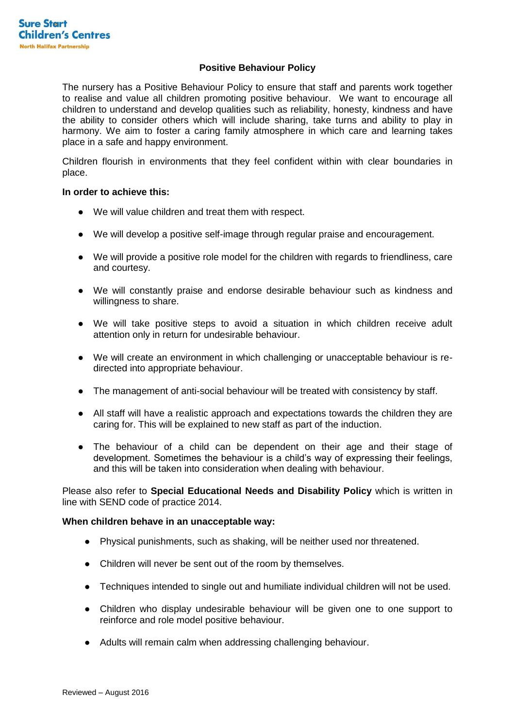## **Positive Behaviour Policy**

The nursery has a Positive Behaviour Policy to ensure that staff and parents work together to realise and value all children promoting positive behaviour. We want to encourage all children to understand and develop qualities such as reliability, honesty, kindness and have the ability to consider others which will include sharing, take turns and ability to play in harmony. We aim to foster a caring family atmosphere in which care and learning takes place in a safe and happy environment.

Children flourish in environments that they feel confident within with clear boundaries in place.

## **In order to achieve this:**

- We will value children and treat them with respect.
- We will develop a positive self-image through regular praise and encouragement.
- We will provide a positive role model for the children with regards to friendliness, care and courtesy.
- We will constantly praise and endorse desirable behaviour such as kindness and willingness to share.
- We will take positive steps to avoid a situation in which children receive adult attention only in return for undesirable behaviour.
- We will create an environment in which challenging or unacceptable behaviour is redirected into appropriate behaviour.
- The management of anti-social behaviour will be treated with consistency by staff.
- All staff will have a realistic approach and expectations towards the children they are caring for. This will be explained to new staff as part of the induction.
- The behaviour of a child can be dependent on their age and their stage of development. Sometimes the behaviour is a child's way of expressing their feelings, and this will be taken into consideration when dealing with behaviour.

Please also refer to **Special Educational Needs and Disability Policy** which is written in line with SEND code of practice 2014.

## **When children behave in an unacceptable way:**

- Physical punishments, such as shaking, will be neither used nor threatened.
- Children will never be sent out of the room by themselves.
- Techniques intended to single out and humiliate individual children will not be used.
- Children who display undesirable behaviour will be given one to one support to reinforce and role model positive behaviour.
- Adults will remain calm when addressing challenging behaviour.